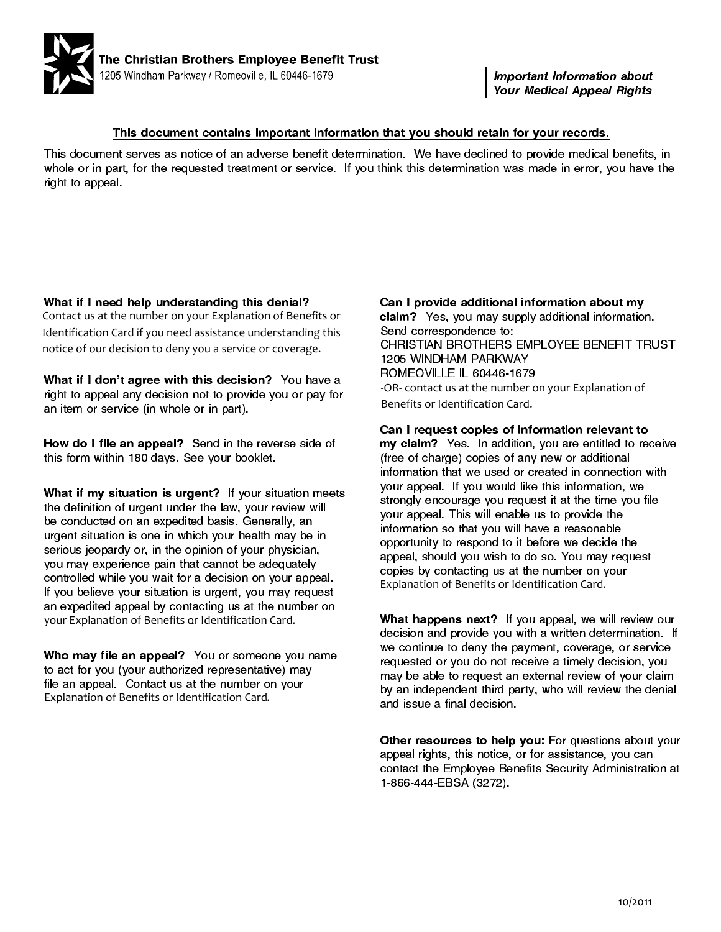

Important Information about Your Medical Appeal Rights

## This document contains important information that you should retain for your records.

This document serves as notice of an adverse benefit determination. We have declined to provide medical benefits, in whole or in part, for the requested treatment or service. If you think this determination was made in error, you have the right to appeal.

What if I need help understanding this denial? Contact us at the number on your Explanation of Benefits or Identification Card if you need assistance understanding this notice of our decision to deny you a service or coverage.

What if I don't agree with this decision? You have a right to appeal any decision not to provide you or pay for an item or service (in whole or in part).

How do I file an appeal? Send in the reverse side of this form within 180 days. See your booklet.

What if my situation is urgent? If your situation meets the definition of urgent under the law, your review will be conducted on an expedited basis. Generally, an urgent situation is one in which your health may be in serious jeopardy or, in the opinion of your physician, you may experience pain that cannot be adequately controlled while you wait for a decision on your appeal. If you believe your situation is urgent, you may request an expedited appeal by contacting us at the number on . your Explanation of Benefits or Identification Card.

Who may file an appeal? You or someone you name to act for you (your authorized representative) may file an appeal. Contact us at the number on your Explanation of Benefits or Identification Card . .

**understanding this denial?** Can I provide additional information about my<br>
ber on your Explanation of Benefits or claim? Yes, you may supply additional information.<br>
ou need assistance understanding this Send corresponden claim? Yes, you may supply additional information. Send correspondence to: CHRISTIAN BROTHERS EMPLOYEE BENEFIT TRUST 1205 WINDHAM PARKWAY ROMEOVILLE IL 60446-1679 Benefits or Identification Card. -OR- contact us at the number on your Explanation of

> Can I request copies of information relevant to my claim? Yes. In addition, you are entitled to receive (free of charge) copies of any new or additional information that we used or created in connection with your appeal. If you would like this information, we strongly encourage you request it at the time you file your appeal. This will enable us to provide the information so that you will have a reasonable opportunity to respond to it before we decide the appeal, should you wish to do so. You may request copies by contacting us at the number on your Explanation of Benefits or Identification Card.

What happens next? If you appeal, we will review our decision and provide you with a written determination. If we continue to deny the payment, coverage, or service requested or you do not receive a timely decision, you may be able to request an external review of your claim by an independent third party, who will review the denial and issue a final decision.

Other resources to help you: For questions about your appeal rights, this notice, or for assistance, you can contact the Employee Benefits Security Administration at 1-866-444-EBSA (3272).